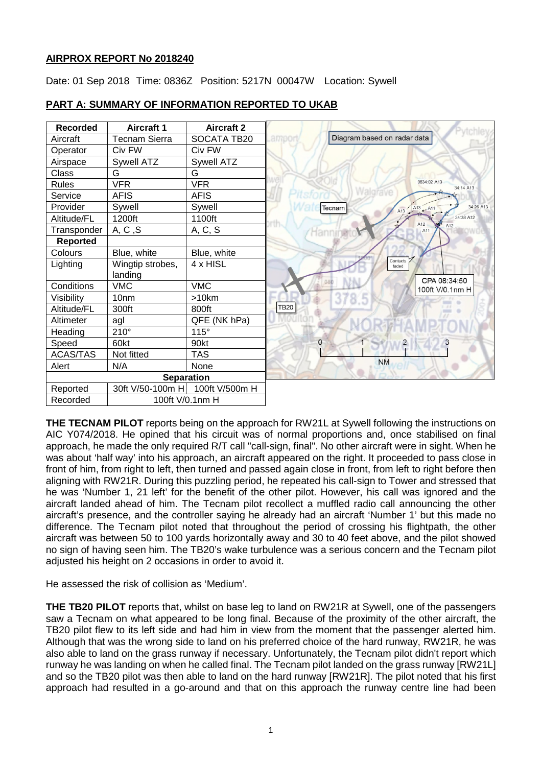# **AIRPROX REPORT No 2018240**

Date: 01 Sep 2018 Time: 0836Z Position: 5217N 00047W Location: Sywell



# **PART A: SUMMARY OF INFORMATION REPORTED TO UKAB**

**THE TECNAM PILOT** reports being on the approach for RW21L at Sywell following the instructions on AIC Y074/2018. He opined that his circuit was of normal proportions and, once stabilised on final approach, he made the only required R/T call "call-sign, final". No other aircraft were in sight. When he was about 'half way' into his approach, an aircraft appeared on the right. It proceeded to pass close in front of him, from right to left, then turned and passed again close in front, from left to right before then aligning with RW21R. During this puzzling period, he repeated his call-sign to Tower and stressed that he was 'Number 1, 21 left' for the benefit of the other pilot. However, his call was ignored and the aircraft landed ahead of him. The Tecnam pilot recollect a muffled radio call announcing the other aircraft's presence, and the controller saying he already had an aircraft 'Number 1' but this made no difference. The Tecnam pilot noted that throughout the period of crossing his flightpath, the other aircraft was between 50 to 100 yards horizontally away and 30 to 40 feet above, and the pilot showed no sign of having seen him. The TB20's wake turbulence was a serious concern and the Tecnam pilot adjusted his height on 2 occasions in order to avoid it.

He assessed the risk of collision as 'Medium'.

**THE TB20 PILOT** reports that, whilst on base leg to land on RW21R at Sywell, one of the passengers saw a Tecnam on what appeared to be long final. Because of the proximity of the other aircraft, the TB20 pilot flew to its left side and had him in view from the moment that the passenger alerted him. Although that was the wrong side to land on his preferred choice of the hard runway, RW21R, he was also able to land on the grass runway if necessary. Unfortunately, the Tecnam pilot didn't report which runway he was landing on when he called final. The Tecnam pilot landed on the grass runway [RW21L] and so the TB20 pilot was then able to land on the hard runway [RW21R]. The pilot noted that his first approach had resulted in a go-around and that on this approach the runway centre line had been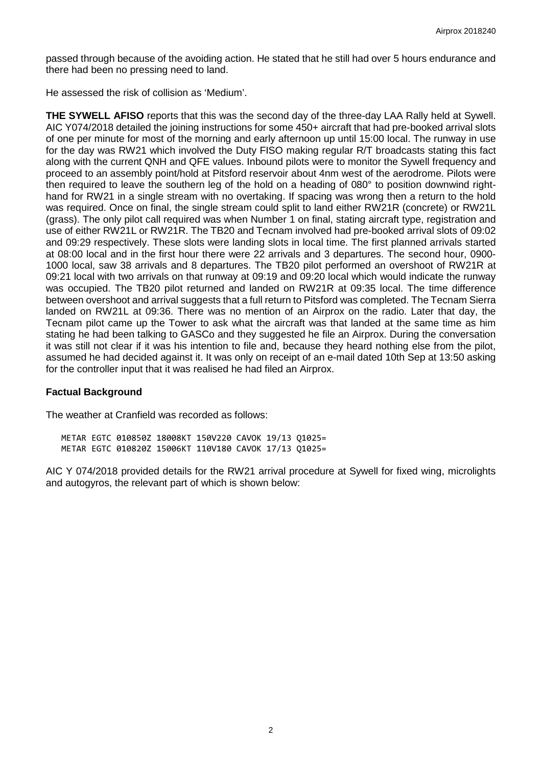passed through because of the avoiding action. He stated that he still had over 5 hours endurance and there had been no pressing need to land.

He assessed the risk of collision as 'Medium'.

**THE SYWELL AFISO** reports that this was the second day of the three-day LAA Rally held at Sywell. AIC Y074/2018 detailed the joining instructions for some 450+ aircraft that had pre-booked arrival slots of one per minute for most of the morning and early afternoon up until 15:00 local. The runway in use for the day was RW21 which involved the Duty FISO making regular R/T broadcasts stating this fact along with the current QNH and QFE values. Inbound pilots were to monitor the Sywell frequency and proceed to an assembly point/hold at Pitsford reservoir about 4nm west of the aerodrome. Pilots were then required to leave the southern leg of the hold on a heading of 080° to position downwind righthand for RW21 in a single stream with no overtaking. If spacing was wrong then a return to the hold was required. Once on final, the single stream could split to land either RW21R (concrete) or RW21L (grass). The only pilot call required was when Number 1 on final, stating aircraft type, registration and use of either RW21L or RW21R. The TB20 and Tecnam involved had pre-booked arrival slots of 09:02 and 09:29 respectively. These slots were landing slots in local time. The first planned arrivals started at 08:00 local and in the first hour there were 22 arrivals and 3 departures. The second hour, 0900- 1000 local, saw 38 arrivals and 8 departures. The TB20 pilot performed an overshoot of RW21R at 09:21 local with two arrivals on that runway at 09:19 and 09:20 local which would indicate the runway was occupied. The TB20 pilot returned and landed on RW21R at 09:35 local. The time difference between overshoot and arrival suggests that a full return to Pitsford was completed. The Tecnam Sierra landed on RW21L at 09:36. There was no mention of an Airprox on the radio. Later that day, the Tecnam pilot came up the Tower to ask what the aircraft was that landed at the same time as him stating he had been talking to GASCo and they suggested he file an Airprox. During the conversation it was still not clear if it was his intention to file and, because they heard nothing else from the pilot, assumed he had decided against it. It was only on receipt of an e-mail dated 10th Sep at 13:50 asking for the controller input that it was realised he had filed an Airprox.

#### **Factual Background**

The weather at Cranfield was recorded as follows:

METAR EGTC 010850Z 18008KT 150V220 CAVOK 19/13 Q1025= METAR EGTC 010820Z 15006KT 110V180 CAVOK 17/13 Q1025=

AIC Y 074/2018 provided details for the RW21 arrival procedure at Sywell for fixed wing, microlights and autogyros, the relevant part of which is shown below: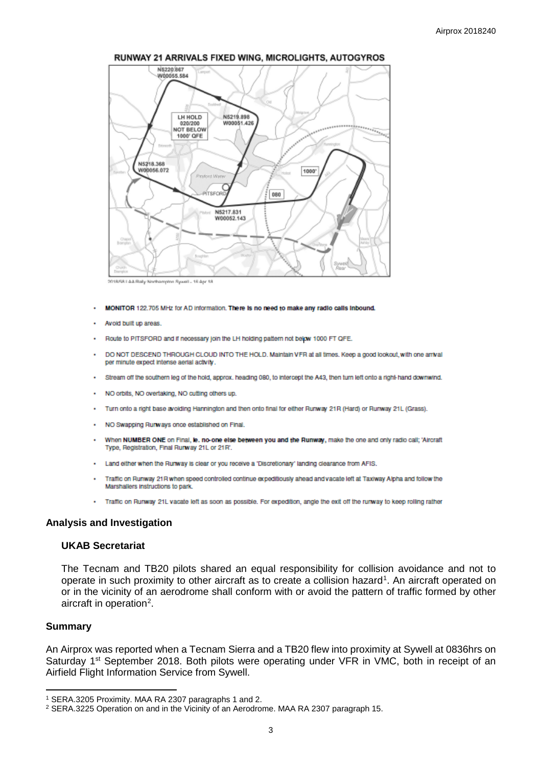

#### RUNWAY 21 ARRIVALS FIXED WING, MICROLIGHTS, AUTOGYROS

2018/68 | AA Rally Northampton Sywell - 16 Apr 18

- MONITOR 122.705 MHz for AD information. There is no need to make any radio calls inbound.
- Avoid built up areas.
- Route to PITSFORD and if necessary join the LH holding pattern not below 1000 FT QFE.
- DO NOT DESCEND THROUGH CLOUD INTO THE HOLD. Maintain VFR at all times. Keep a good lookout, with one arrival per minute expect intense aerial activity.
- Stream off the southern leg of the hold, approx. heading 080, to intercept the A43, then turn left onto a right-hand downwind.
- NO orbits, NO overtaking, NO cutting others up.
- Turn onto a right base avoiding Hannington and then onto final for either Runway 21R (Hard) or Runway 21L (Grass).
- NO Swapping Runways once established on Final.
- When NUMBER ONE on Final, le. no-one else between you and the Runway, make the one and only radio call; 'Aircraft Type, Registration, Final Runway 21L or 21R'.
- . Land either when the Runway is clear or you receive a 'Discretionary' landing clearance from AFIS.
- Traffic on Runway 21R when speed controlled continue expeditiously ahead and vacate left at Taxiway Alpha and follow the Marshallers instructions to park
- . Traffic on Runway 21L vacate left as soon as possible. For expedition, angle the exit off the runway to keep rolling rather

#### **Analysis and Investigation**

## **UKAB Secretariat**

The Tecnam and TB20 pilots shared an equal responsibility for collision avoidance and not to operate in such proximity to other aircraft as to create a collision hazard<sup>[1](#page-2-0)</sup>. An aircraft operated on or in the vicinity of an aerodrome shall conform with or avoid the pattern of traffic formed by other aircraft in operation<sup>[2](#page-2-1)</sup>.

#### **Summary**

l

An Airprox was reported when a Tecnam Sierra and a TB20 flew into proximity at Sywell at 0836hrs on Saturday 1<sup>st</sup> September 2018. Both pilots were operating under VFR in VMC, both in receipt of an Airfield Flight Information Service from Sywell.

<span id="page-2-0"></span><sup>1</sup> SERA.3205 Proximity. MAA RA 2307 paragraphs 1 and 2.

<span id="page-2-1"></span><sup>2</sup> SERA.3225 Operation on and in the Vicinity of an Aerodrome. MAA RA 2307 paragraph 15.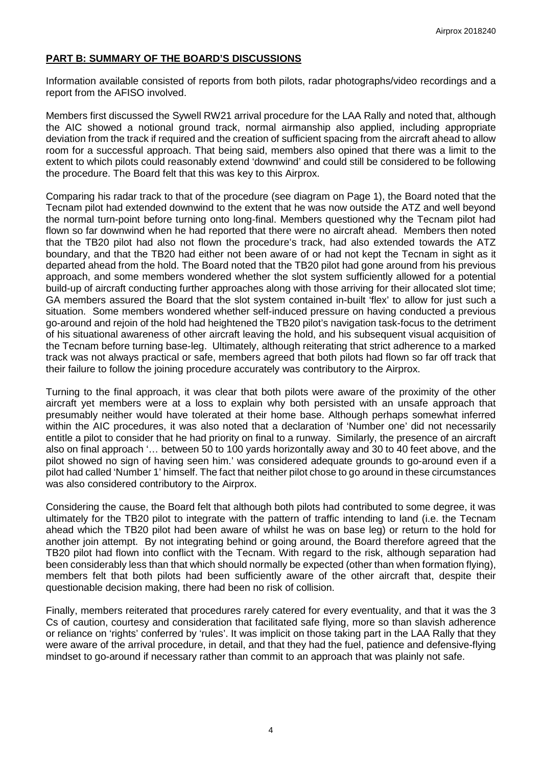# **PART B: SUMMARY OF THE BOARD'S DISCUSSIONS**

Information available consisted of reports from both pilots, radar photographs/video recordings and a report from the AFISO involved.

Members first discussed the Sywell RW21 arrival procedure for the LAA Rally and noted that, although the AIC showed a notional ground track, normal airmanship also applied, including appropriate deviation from the track if required and the creation of sufficient spacing from the aircraft ahead to allow room for a successful approach. That being said, members also opined that there was a limit to the extent to which pilots could reasonably extend 'downwind' and could still be considered to be following the procedure. The Board felt that this was key to this Airprox.

Comparing his radar track to that of the procedure (see diagram on Page 1), the Board noted that the Tecnam pilot had extended downwind to the extent that he was now outside the ATZ and well beyond the normal turn-point before turning onto long-final. Members questioned why the Tecnam pilot had flown so far downwind when he had reported that there were no aircraft ahead. Members then noted that the TB20 pilot had also not flown the procedure's track, had also extended towards the ATZ boundary, and that the TB20 had either not been aware of or had not kept the Tecnam in sight as it departed ahead from the hold. The Board noted that the TB20 pilot had gone around from his previous approach, and some members wondered whether the slot system sufficiently allowed for a potential build-up of aircraft conducting further approaches along with those arriving for their allocated slot time; GA members assured the Board that the slot system contained in-built 'flex' to allow for just such a situation. Some members wondered whether self-induced pressure on having conducted a previous go-around and rejoin of the hold had heightened the TB20 pilot's navigation task-focus to the detriment of his situational awareness of other aircraft leaving the hold, and his subsequent visual acquisition of the Tecnam before turning base-leg. Ultimately, although reiterating that strict adherence to a marked track was not always practical or safe, members agreed that both pilots had flown so far off track that their failure to follow the joining procedure accurately was contributory to the Airprox.

Turning to the final approach, it was clear that both pilots were aware of the proximity of the other aircraft yet members were at a loss to explain why both persisted with an unsafe approach that presumably neither would have tolerated at their home base. Although perhaps somewhat inferred within the AIC procedures, it was also noted that a declaration of 'Number one' did not necessarily entitle a pilot to consider that he had priority on final to a runway. Similarly, the presence of an aircraft also on final approach '… between 50 to 100 yards horizontally away and 30 to 40 feet above, and the pilot showed no sign of having seen him.' was considered adequate grounds to go-around even if a pilot had called 'Number 1' himself. The fact that neither pilot chose to go around in these circumstances was also considered contributory to the Airprox.

Considering the cause, the Board felt that although both pilots had contributed to some degree, it was ultimately for the TB20 pilot to integrate with the pattern of traffic intending to land (i.e. the Tecnam ahead which the TB20 pilot had been aware of whilst he was on base leg) or return to the hold for another join attempt. By not integrating behind or going around, the Board therefore agreed that the TB20 pilot had flown into conflict with the Tecnam. With regard to the risk, although separation had been considerably less than that which should normally be expected (other than when formation flying), members felt that both pilots had been sufficiently aware of the other aircraft that, despite their questionable decision making, there had been no risk of collision.

Finally, members reiterated that procedures rarely catered for every eventuality, and that it was the 3 Cs of caution, courtesy and consideration that facilitated safe flying, more so than slavish adherence or reliance on 'rights' conferred by 'rules'. It was implicit on those taking part in the LAA Rally that they were aware of the arrival procedure, in detail, and that they had the fuel, patience and defensive-flying mindset to go-around if necessary rather than commit to an approach that was plainly not safe.